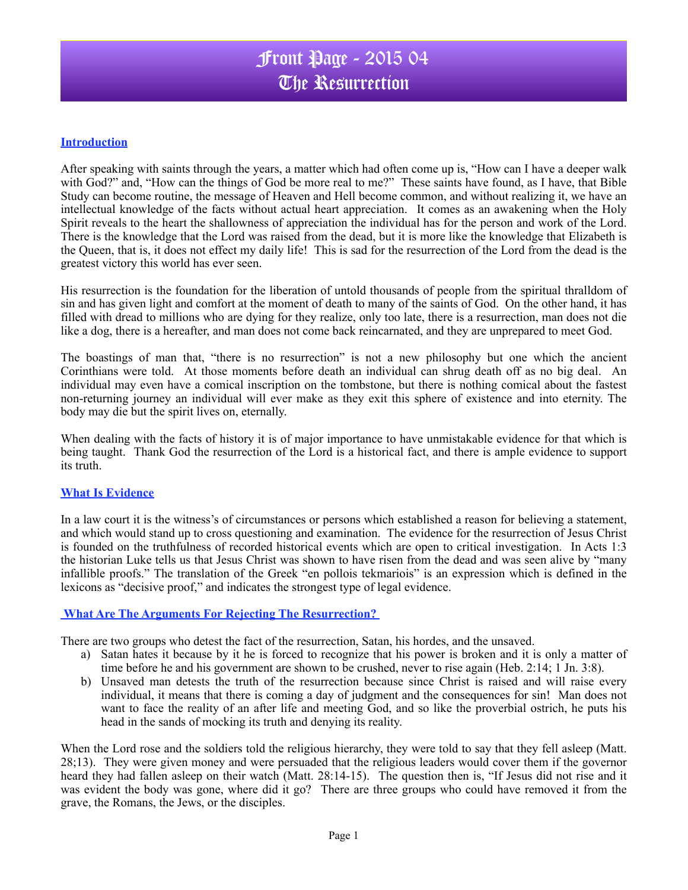### **Introduction**

After speaking with saints through the years, a matter which had often come up is, "How can I have a deeper walk with God?" and, "How can the things of God be more real to me?" These saints have found, as I have, that Bible Study can become routine, the message of Heaven and Hell become common, and without realizing it, we have an intellectual knowledge of the facts without actual heart appreciation.It comes as an awakening when the Holy Spirit reveals to the heart the shallowness of appreciation the individual has for the person and work of the Lord. There is the knowledge that the Lord was raised from the dead, but it is more like the knowledge that Elizabeth is the Queen, that is, it does not effect my daily life! This is sad for the resurrection of the Lord from the dead is the greatest victory this world has ever seen.

His resurrection is the foundation for the liberation of untold thousands of people from the spiritual thralldom of sin and has given light and comfort at the moment of death to many of the saints of God. On the other hand, it has filled with dread to millions who are dying for they realize, only too late, there is a resurrection, man does not die like a dog, there is a hereafter, and man does not come back reincarnated, and they are unprepared to meet God.

The boastings of man that, "there is no resurrection" is not a new philosophy but one which the ancient Corinthians were told. At those moments before death an individual can shrug death off as no big deal. An individual may even have a comical inscription on the tombstone, but there is nothing comical about the fastest non-returning journey an individual will ever make as they exit this sphere of existence and into eternity. The body may die but the spirit lives on, eternally.

When dealing with the facts of history it is of major importance to have unmistakable evidence for that which is being taught. Thank God the resurrection of the Lord is a historical fact, and there is ample evidence to support its truth.

#### **What Is Evidence**

In a law court it is the witness's of circumstances or persons which established a reason for believing a statement, and which would stand up to cross questioning and examination. The evidence for the resurrection of Jesus Christ is founded on the truthfulness of recorded historical events which are open to critical investigation. In Acts 1:3 the historian Luke tells us that Jesus Christ was shown to have risen from the dead and was seen alive by "many infallible proofs." The translation of the Greek "en pollois tekmariois" is an expression which is defined in the lexicons as "decisive proof," and indicates the strongest type of legal evidence.

#### **What Are The Arguments For Rejecting The Resurrection?**

There are two groups who detest the fact of the resurrection, Satan, his hordes, and the unsaved.

- a) Satan hates it because by it he is forced to recognize that his power is broken and it is only a matter of time before he and his government are shown to be crushed, never to rise again (Heb. 2:14; 1 Jn. 3:8).
- b) Unsaved man detests the truth of the resurrection because since Christ is raised and will raise every individual, it means that there is coming a day of judgment and the consequences for sin! Man does not want to face the reality of an after life and meeting God, and so like the proverbial ostrich, he puts his head in the sands of mocking its truth and denying its reality.

When the Lord rose and the soldiers told the religious hierarchy, they were told to say that they fell asleep (Matt. 28;13). They were given money and were persuaded that the religious leaders would cover them if the governor heard they had fallen asleep on their watch (Matt. 28:14-15). The question then is, "If Jesus did not rise and it was evident the body was gone, where did it go? There are three groups who could have removed it from the grave, the Romans, the Jews, or the disciples.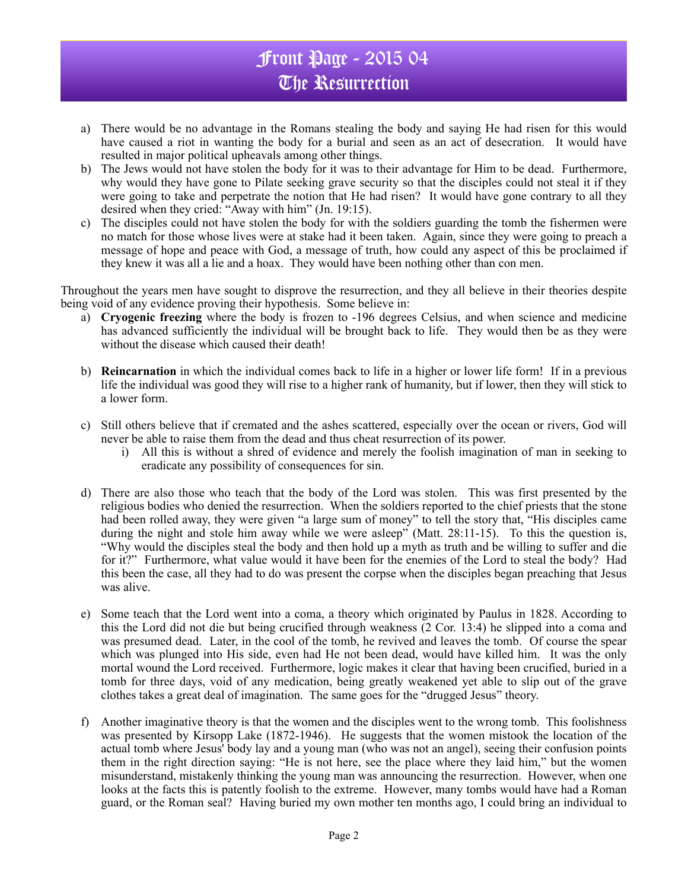## Front Page - 2015 04 The Resurrection

- a) There would be no advantage in the Romans stealing the body and saying He had risen for this would have caused a riot in wanting the body for a burial and seen as an act of desecration. It would have resulted in major political upheavals among other things.
- b) The Jews would not have stolen the body for it was to their advantage for Him to be dead. Furthermore, why would they have gone to Pilate seeking grave security so that the disciples could not steal it if they were going to take and perpetrate the notion that He had risen? It would have gone contrary to all they desired when they cried: "Away with him" (Jn. 19:15).
- c) The disciples could not have stolen the body for with the soldiers guarding the tomb the fishermen were no match for those whose lives were at stake had it been taken. Again, since they were going to preach a message of hope and peace with God, a message of truth, how could any aspect of this be proclaimed if they knew it was all a lie and a hoax. They would have been nothing other than con men.

Throughout the years men have sought to disprove the resurrection, and they all believe in their theories despite being void of any evidence proving their hypothesis. Some believe in:

- a) **Cryogenic freezing** where the body is frozen to -196 degrees Celsius, and when science and medicine has advanced sufficiently the individual will be brought back to life. They would then be as they were without the disease which caused their death!
- b) **Reincarnation** in which the individual comes back to life in a higher or lower life form! If in a previous life the individual was good they will rise to a higher rank of humanity, but if lower, then they will stick to a lower form.
- c) Still others believe that if cremated and the ashes scattered, especially over the ocean or rivers, God will never be able to raise them from the dead and thus cheat resurrection of its power.
	- i) All this is without a shred of evidence and merely the foolish imagination of man in seeking to eradicate any possibility of consequences for sin.
- d) There are also those who teach that the body of the Lord was stolen. This was first presented by the religious bodies who denied the resurrection. When the soldiers reported to the chief priests that the stone had been rolled away, they were given "a large sum of money" to tell the story that, "His disciples came during the night and stole him away while we were asleep" (Matt. 28:11-15). To this the question is, "Why would the disciples steal the body and then hold up a myth as truth and be willing to suffer and die for it?" Furthermore, what value would it have been for the enemies of the Lord to steal the body? Had this been the case, all they had to do was present the corpse when the disciples began preaching that Jesus was alive.
- e) Some teach that the Lord went into a coma, a theory which originated by Paulus in 1828. According to this the Lord did not die but being crucified through weakness (2 Cor. 13:4) he slipped into a coma and was presumed dead. Later, in the cool of the tomb, he revived and leaves the tomb. Of course the spear which was plunged into His side, even had He not been dead, would have killed him. It was the only mortal wound the Lord received. Furthermore, logic makes it clear that having been crucified, buried in a tomb for three days, void of any medication, being greatly weakened yet able to slip out of the grave clothes takes a great deal of imagination. The same goes for the "drugged Jesus" theory.
- f) Another imaginative theory is that the women and the disciples went to the wrong tomb. This foolishness was presented by Kirsopp Lake (1872-1946). He suggests that the women mistook the location of the actual tomb where Jesus' body lay and a young man (who was not an angel), seeing their confusion points them in the right direction saying: "He is not here, see the place where they laid him," but the women misunderstand, mistakenly thinking the young man was announcing the resurrection. However, when one looks at the facts this is patently foolish to the extreme. However, many tombs would have had a Roman guard, or the Roman seal? Having buried my own mother ten months ago, I could bring an individual to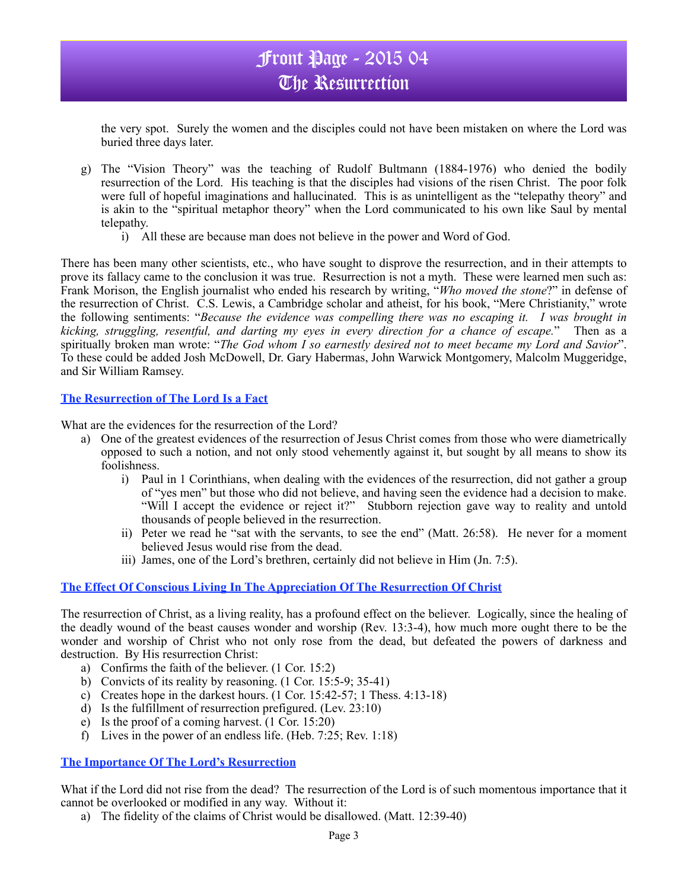## Front Page - 2015 04 The Resurrection

the very spot. Surely the women and the disciples could not have been mistaken on where the Lord was buried three days later.

- g) The "Vision Theory" was the teaching of Rudolf Bultmann (1884-1976) who denied the bodily resurrection of the Lord. His teaching is that the disciples had visions of the risen Christ. The poor folk were full of hopeful imaginations and hallucinated. This is as unintelligent as the "telepathy theory" and is akin to the "spiritual metaphor theory" when the Lord communicated to his own like Saul by mental telepathy.
	- i) All these are because man does not believe in the power and Word of God.

There has been many other scientists, etc., who have sought to disprove the resurrection, and in their attempts to prove its fallacy came to the conclusion it was true. Resurrection is not a myth. These were learned men such as: Frank Morison, the English journalist who ended his research by writing, "*Who moved the stone*?" in defense of the resurrection of Christ. C.S. Lewis, a Cambridge scholar and atheist, for his book, "Mere Christianity," wrote the following sentiments: "*Because the evidence was compelling there was no escaping it. I was brought in kicking, struggling, resentful, and darting my eyes in every direction for a chance of escape.*" Then as a spiritually broken man wrote: "*The God whom I so earnestly desired not to meet became my Lord and Savior*". To these could be added Josh McDowell, Dr. Gary Habermas, John Warwick Montgomery, Malcolm Muggeridge, and Sir William Ramsey.

#### **The Resurrection of The Lord Is a Fact**

What are the evidences for the resurrection of the Lord?

- a) One of the greatest evidences of the resurrection of Jesus Christ comes from those who were diametrically opposed to such a notion, and not only stood vehemently against it, but sought by all means to show its foolishness.
	- i) Paul in 1 Corinthians, when dealing with the evidences of the resurrection, did not gather a group of "yes men" but those who did not believe, and having seen the evidence had a decision to make. "Will I accept the evidence or reject it?" Stubborn rejection gave way to reality and untold thousands of people believed in the resurrection.
	- ii) Peter we read he "sat with the servants, to see the end" (Matt. 26:58). He never for a moment believed Jesus would rise from the dead.
	- iii) James, one of the Lord's brethren, certainly did not believe in Him (Jn. 7:5).

#### **The Effect Of Conscious Living In The Appreciation Of The Resurrection Of Christ**

The resurrection of Christ, as a living reality, has a profound effect on the believer. Logically, since the healing of the deadly wound of the beast causes wonder and worship (Rev. 13:3-4), how much more ought there to be the wonder and worship of Christ who not only rose from the dead, but defeated the powers of darkness and destruction. By His resurrection Christ:

- a) Confirms the faith of the believer. (1 Cor. 15:2)
- b) Convicts of its reality by reasoning. (1 Cor. 15:5-9; 35-41)
- c) Creates hope in the darkest hours. (1 Cor. 15:42-57; 1 Thess. 4:13-18)
- d) Is the fulfillment of resurrection prefigured. (Lev. 23:10)
- e) Is the proof of a coming harvest. (1 Cor. 15:20)
- f) Lives in the power of an endless life. (Heb. 7:25; Rev. 1:18)

#### **The Importance Of The Lord's Resurrection**

What if the Lord did not rise from the dead? The resurrection of the Lord is of such momentous importance that it cannot be overlooked or modified in any way. Without it:

a) The fidelity of the claims of Christ would be disallowed. (Matt. 12:39-40)